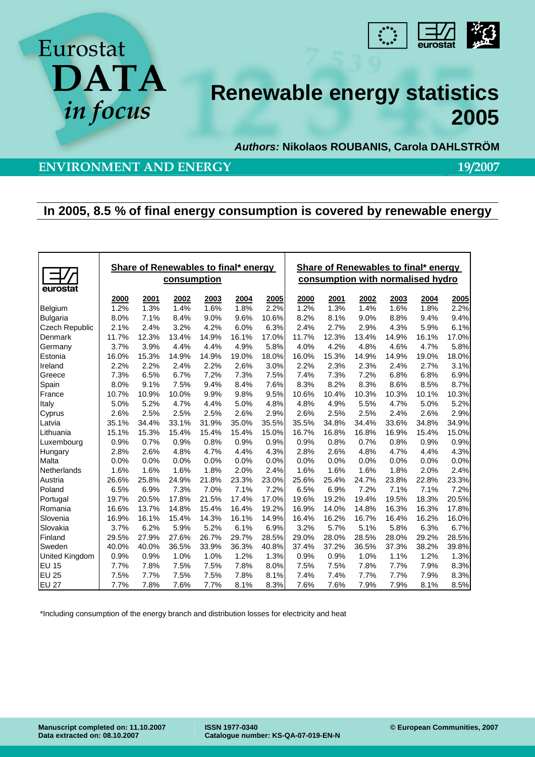

# **Renewable energy statistics 2005**

*Authors:* **Nikolaos ROUBANIS, Carola DAHLSTRÖM** 

## **ENVIRONMENT AND ENERGY** 19/2007

**DATA** 

# **In 2005, 8.5 % of final energy consumption is covered by renewable energy**

| eurostat              | Share of Renewables to final* energy<br>consumption |       |       |       |       |       | Share of Renewables to final* energy<br>consumption with normalised hydro |       |       |       |       |       |
|-----------------------|-----------------------------------------------------|-------|-------|-------|-------|-------|---------------------------------------------------------------------------|-------|-------|-------|-------|-------|
|                       | 2000                                                | 2001  | 2002  | 2003  | 2004  | 2005  | 2000                                                                      | 2001  | 2002  | 2003  | 2004  | 2005  |
| Belgium               | 1.2%                                                | 1.3%  | 1.4%  | 1.6%  | 1.8%  | 2.2%  | 1.2%                                                                      | 1.3%  | 1.4%  | 1.6%  | 1.8%  | 2.2%  |
| <b>Bulgaria</b>       | 8.0%                                                | 7.1%  | 8.4%  | 9.0%  | 9.6%  | 10.6% | 8.2%                                                                      | 8.1%  | 9.0%  | 8.8%  | 9.4%  | 9.4%  |
| <b>Czech Republic</b> | 2.1%                                                | 2.4%  | 3.2%  | 4.2%  | 6.0%  | 6.3%  | 2.4%                                                                      | 2.7%  | 2.9%  | 4.3%  | 5.9%  | 6.1%  |
| Denmark               | 11.7%                                               | 12.3% | 13.4% | 14.9% | 16.1% | 17.0% | 11.7%                                                                     | 12.3% | 13.4% | 14.9% | 16.1% | 17.0% |
| Germany               | 3.7%                                                | 3.9%  | 4.4%  | 4.4%  | 4.9%  | 5.8%  | 4.0%                                                                      | 4.2%  | 4.8%  | 4.6%  | 4.7%  | 5.8%  |
| Estonia               | 16.0%                                               | 15.3% | 14.9% | 14.9% | 19.0% | 18.0% | 16.0%                                                                     | 15.3% | 14.9% | 14.9% | 19.0% | 18.0% |
| Ireland               | 2.2%                                                | 2.2%  | 2.4%  | 2.2%  | 2.6%  | 3.0%  | 2.2%                                                                      | 2.3%  | 2.3%  | 2.4%  | 2.7%  | 3.1%  |
| Greece                | 7.3%                                                | 6.5%  | 6.7%  | 7.2%  | 7.3%  | 7.5%  | 7.4%                                                                      | 7.3%  | 7.2%  | 6.8%  | 6.8%  | 6.9%  |
| Spain                 | 8.0%                                                | 9.1%  | 7.5%  | 9.4%  | 8.4%  | 7.6%  | 8.3%                                                                      | 8.2%  | 8.3%  | 8.6%  | 8.5%  | 8.7%  |
| France                | 10.7%                                               | 10.9% | 10.0% | 9.9%  | 9.8%  | 9.5%  | 10.6%                                                                     | 10.4% | 10.3% | 10.3% | 10.1% | 10.3% |
| Italy                 | 5.0%                                                | 5.2%  | 4.7%  | 4.4%  | 5.0%  | 4.8%  | 4.8%                                                                      | 4.9%  | 5.5%  | 4.7%  | 5.0%  | 5.2%  |
| Cyprus                | 2.6%                                                | 2.5%  | 2.5%  | 2.5%  | 2.6%  | 2.9%  | 2.6%                                                                      | 2.5%  | 2.5%  | 2.4%  | 2.6%  | 2.9%  |
| Latvia                | 35.1%                                               | 34.4% | 33.1% | 31.9% | 35.0% | 35.5% | 35.5%                                                                     | 34.8% | 34.4% | 33.6% | 34.8% | 34.9% |
| Lithuania             | 15.1%                                               | 15.3% | 15.4% | 15.4% | 15.4% | 15.0% | 16.7%                                                                     | 16.8% | 16.8% | 16.9% | 15.4% | 15.0% |
| Luxembourg            | 0.9%                                                | 0.7%  | 0.9%  | 0.8%  | 0.9%  | 0.9%  | 0.9%                                                                      | 0.8%  | 0.7%  | 0.8%  | 0.9%  | 0.9%  |
| Hungary               | 2.8%                                                | 2.6%  | 4.8%  | 4.7%  | 4.4%  | 4.3%  | 2.8%                                                                      | 2.6%  | 4.8%  | 4.7%  | 4.4%  | 4.3%  |
| Malta                 | 0.0%                                                | 0.0%  | 0.0%  | 0.0%  | 0.0%  | 0.0%  | 0.0%                                                                      | 0.0%  | 0.0%  | 0.0%  | 0.0%  | 0.0%  |
| Netherlands           | 1.6%                                                | 1.6%  | 1.6%  | 1.8%  | 2.0%  | 2.4%  | 1.6%                                                                      | 1.6%  | 1.6%  | 1.8%  | 2.0%  | 2.4%  |
| Austria               | 26.6%                                               | 25.8% | 24.9% | 21.8% | 23.3% | 23.0% | 25.6%                                                                     | 25.4% | 24.7% | 23.8% | 22.8% | 23.3% |
| Poland                | 6.5%                                                | 6.9%  | 7.3%  | 7.0%  | 7.1%  | 7.2%  | 6.5%                                                                      | 6.9%  | 7.2%  | 7.1%  | 7.1%  | 7.2%  |
| Portugal              | 19.7%                                               | 20.5% | 17.8% | 21.5% | 17.4% | 17.0% | 19.6%                                                                     | 19.2% | 19.4% | 19.5% | 18.3% | 20.5% |
| Romania               | 16.6%                                               | 13.7% | 14.8% | 15.4% | 16.4% | 19.2% | 16.9%                                                                     | 14.0% | 14.8% | 16.3% | 16.3% | 17.8% |
| Slovenia              | 16.9%                                               | 16.1% | 15.4% | 14.3% | 16.1% | 14.9% | 16.4%                                                                     | 16.2% | 16.7% | 16.4% | 16.2% | 16.0% |
| Slovakia              | 3.7%                                                | 6.2%  | 5.9%  | 5.2%  | 6.1%  | 6.9%  | 3.2%                                                                      | 5.7%  | 5.1%  | 5.8%  | 6.3%  | 6.7%  |
| Finland               | 29.5%                                               | 27.9% | 27.6% | 26.7% | 29.7% | 28.5% | 29.0%                                                                     | 28.0% | 28.5% | 28.0% | 29.2% | 28.5% |
| Sweden                | 40.0%                                               | 40.0% | 36.5% | 33.9% | 36.3% | 40.8% | 37.4%                                                                     | 37.2% | 36.5% | 37.3% | 38.2% | 39.8% |
| United Kingdom        | 0.9%                                                | 0.9%  | 1.0%  | 1.0%  | 1.2%  | 1.3%  | 0.9%                                                                      | 0.9%  | 1.0%  | 1.1%  | 1.2%  | 1.3%  |
| <b>EU 15</b>          | 7.7%                                                | 7.8%  | 7.5%  | 7.5%  | 7.8%  | 8.0%  | 7.5%                                                                      | 7.5%  | 7.8%  | 7.7%  | 7.9%  | 8.3%  |
| <b>EU 25</b>          | 7.5%                                                | 7.7%  | 7.5%  | 7.5%  | 7.8%  | 8.1%  | 7.4%                                                                      | 7.4%  | 7.7%  | 7.7%  | 7.9%  | 8.3%  |
| <b>EU 27</b>          | 7.7%                                                | 7.8%  | 7.6%  | 7.7%  | 8.1%  | 8.3%  | 7.6%                                                                      | 7.6%  | 7.9%  | 7.9%  | 8.1%  | 8.5%  |

\*Including consumption of the energy branch and distribution losses for electricity and heat